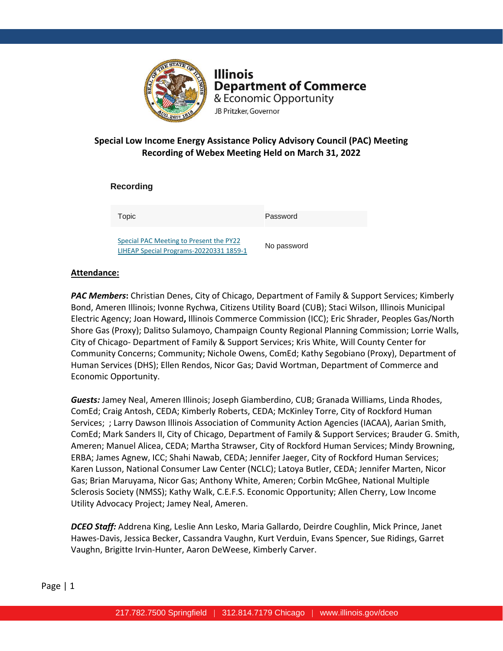

**Illinois Department of Commerce** & Economic Opportunity JB Pritzker, Governor

## **Special Low Income Energy Assistance Policy Advisory Council (PAC) Meeting Recording of Webex Meeting Held on March 31, 2022**

**Recording** 

Topic Password

[Special PAC Meeting to Present the PY22](https://illinois2.webex.com/illinois2/ldr.php?RCID=33771239a0b79f9060c0782271bcda70)  [LIHEAP Special Programs-20220331 1859-1](https://illinois2.webex.com/illinois2/ldr.php?RCID=33771239a0b79f9060c0782271bcda70)

No password

### **Attendance:**

*PAC Members***:** Christian Denes, City of Chicago, Department of Family & Support Services; Kimberly Bond, Ameren Illinois; Ivonne Rychwa, Citizens Utility Board (CUB); Staci Wilson, Illinois Municipal Electric Agency; Joan Howard**,** Illinois Commerce Commission (ICC); Eric Shrader, Peoples Gas/North Shore Gas (Proxy); Dalitso Sulamoyo, Champaign County Regional Planning Commission; Lorrie Walls, City of Chicago- Department of Family & Support Services; Kris White, Will County Center for Community Concerns; Community; Nichole Owens, ComEd; Kathy Segobiano (Proxy), Department of Human Services (DHS); Ellen Rendos, Nicor Gas; David Wortman, Department of Commerce and Economic Opportunity.

*Guests:* Jamey Neal, Ameren Illinois; Joseph Giamberdino, CUB; Granada Williams, Linda Rhodes, ComEd; Craig Antosh, CEDA; Kimberly Roberts, CEDA; McKinley Torre, City of Rockford Human Services; ; Larry Dawson Illinois Association of Community Action Agencies (IACAA), Aarian Smith, ComEd; Mark Sanders II, City of Chicago, Department of Family & Support Services; Brauder G. Smith, Ameren; Manuel Alicea, CEDA; Martha Strawser, City of Rockford Human Services; Mindy Browning, ERBA; James Agnew, ICC; Shahi Nawab, CEDA; Jennifer Jaeger, City of Rockford Human Services; Karen Lusson, National Consumer Law Center (NCLC); Latoya Butler, CEDA; Jennifer Marten, Nicor Gas; Brian Maruyama, Nicor Gas; Anthony White, Ameren; Corbin McGhee, National Multiple Sclerosis Society (NMSS); Kathy Walk, C.E.F.S. Economic Opportunity; Allen Cherry, Low Income Utility Advocacy Project; Jamey Neal, Ameren.

*DCEO Staff:* Addrena King, Leslie Ann Lesko, Maria Gallardo, Deirdre Coughlin, Mick Prince, Janet Hawes-Davis, Jessica Becker, Cassandra Vaughn, Kurt Verduin, Evans Spencer, Sue Ridings, Garret Vaughn, Brigitte Irvin-Hunter, Aaron DeWeese, Kimberly Carver.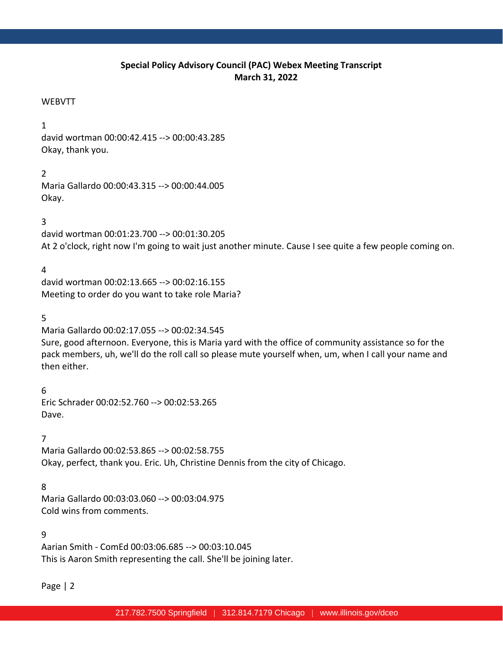## **Special Policy Advisory Council (PAC) Webex Meeting Transcript March 31, 2022**

### WEBVTT

### 1

david wortman 00:00:42.415 --> 00:00:43.285 Okay, thank you.

## 2

Maria Gallardo 00:00:43.315 --> 00:00:44.005 Okay.

## 3

david wortman 00:01:23.700 --> 00:01:30.205 At 2 o'clock, right now I'm going to wait just another minute. Cause I see quite a few people coming on.

## 4

david wortman 00:02:13.665 --> 00:02:16.155 Meeting to order do you want to take role Maria?

### 5

Maria Gallardo 00:02:17.055 --> 00:02:34.545 Sure, good afternoon. Everyone, this is Maria yard with the office of community assistance so for the pack members, uh, we'll do the roll call so please mute yourself when, um, when I call your name and then either.

6 Eric Schrader 00:02:52.760 --> 00:02:53.265 Dave.

### 7

Maria Gallardo 00:02:53.865 --> 00:02:58.755 Okay, perfect, thank you. Eric. Uh, Christine Dennis from the city of Chicago.

## 8

Maria Gallardo 00:03:03.060 --> 00:03:04.975 Cold wins from comments.

### 9

Aarian Smith - ComEd 00:03:06.685 --> 00:03:10.045 This is Aaron Smith representing the call. She'll be joining later.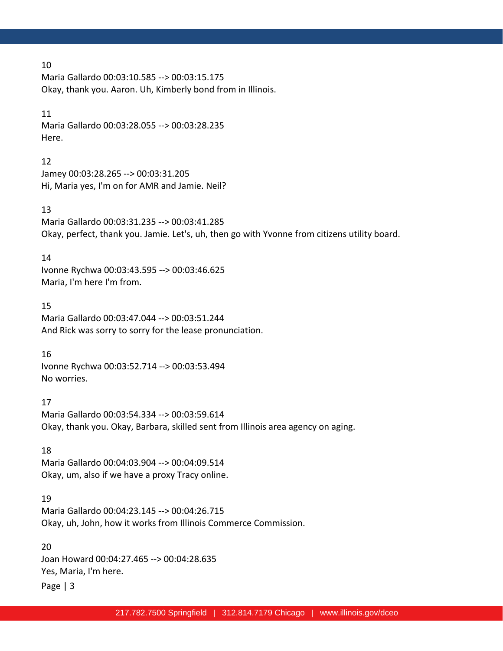Maria Gallardo 00:03:10.585 --> 00:03:15.175 Okay, thank you. Aaron. Uh, Kimberly bond from in Illinois.

### 11

Maria Gallardo 00:03:28.055 --> 00:03:28.235 Here.

### 12

Jamey 00:03:28.265 --> 00:03:31.205 Hi, Maria yes, I'm on for AMR and Jamie. Neil?

### 13

Maria Gallardo 00:03:31.235 --> 00:03:41.285 Okay, perfect, thank you. Jamie. Let's, uh, then go with Yvonne from citizens utility board.

### 14

Ivonne Rychwa 00:03:43.595 --> 00:03:46.625 Maria, I'm here I'm from.

### 15

Maria Gallardo 00:03:47.044 --> 00:03:51.244 And Rick was sorry to sorry for the lease pronunciation.

### 16

Ivonne Rychwa 00:03:52.714 --> 00:03:53.494 No worries.

## 17

Maria Gallardo 00:03:54.334 --> 00:03:59.614 Okay, thank you. Okay, Barbara, skilled sent from Illinois area agency on aging.

### 18

Maria Gallardo 00:04:03.904 --> 00:04:09.514 Okay, um, also if we have a proxy Tracy online.

### 19

Maria Gallardo 00:04:23.145 --> 00:04:26.715 Okay, uh, John, how it works from Illinois Commerce Commission.

## 20 Joan Howard 00:04:27.465 --> 00:04:28.635 Yes, Maria, I'm here.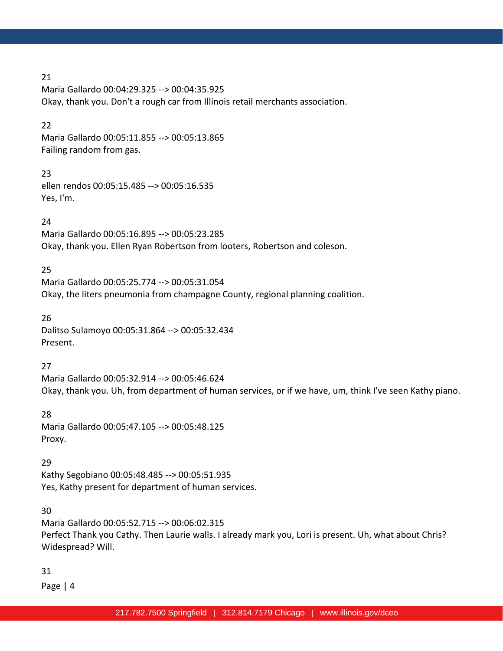Maria Gallardo 00:04:29.325 --> 00:04:35.925 Okay, thank you. Don't a rough car from Illinois retail merchants association.

### 22

Maria Gallardo 00:05:11.855 --> 00:05:13.865 Failing random from gas.

## 23

ellen rendos 00:05:15.485 --> 00:05:16.535 Yes, I'm.

## 24

Maria Gallardo 00:05:16.895 --> 00:05:23.285 Okay, thank you. Ellen Ryan Robertson from looters, Robertson and coleson.

## 25

Maria Gallardo 00:05:25.774 --> 00:05:31.054 Okay, the liters pneumonia from champagne County, regional planning coalition.

### 26

Dalitso Sulamoyo 00:05:31.864 --> 00:05:32.434 Present.

## 27

Maria Gallardo 00:05:32.914 --> 00:05:46.624 Okay, thank you. Uh, from department of human services, or if we have, um, think I've seen Kathy piano.

## 28

Maria Gallardo 00:05:47.105 --> 00:05:48.125 Proxy.

## 29

Kathy Segobiano 00:05:48.485 --> 00:05:51.935 Yes, Kathy present for department of human services.

## 30

Maria Gallardo 00:05:52.715 --> 00:06:02.315 Perfect Thank you Cathy. Then Laurie walls. I already mark you, Lori is present. Uh, what about Chris? Widespread? Will.

## 31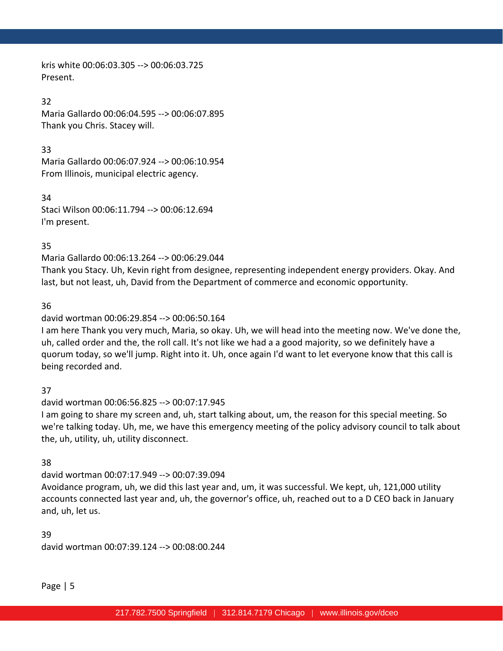kris white 00:06:03.305 --> 00:06:03.725 Present.

### 32

Maria Gallardo 00:06:04.595 --> 00:06:07.895 Thank you Chris. Stacey will.

## 33

Maria Gallardo 00:06:07.924 --> 00:06:10.954 From Illinois, municipal electric agency.

34 Staci Wilson 00:06:11.794 --> 00:06:12.694 I'm present.

## 35

Maria Gallardo 00:06:13.264 --> 00:06:29.044

Thank you Stacy. Uh, Kevin right from designee, representing independent energy providers. Okay. And last, but not least, uh, David from the Department of commerce and economic opportunity.

## 36

## david wortman 00:06:29.854 --> 00:06:50.164

I am here Thank you very much, Maria, so okay. Uh, we will head into the meeting now. We've done the, uh, called order and the, the roll call. It's not like we had a a good majority, so we definitely have a quorum today, so we'll jump. Right into it. Uh, once again I'd want to let everyone know that this call is being recorded and.

## 37

## david wortman 00:06:56.825 --> 00:07:17.945

I am going to share my screen and, uh, start talking about, um, the reason for this special meeting. So we're talking today. Uh, me, we have this emergency meeting of the policy advisory council to talk about the, uh, utility, uh, utility disconnect.

## 38

## david wortman 00:07:17.949 --> 00:07:39.094 Avoidance program, uh, we did this last year and, um, it was successful. We kept, uh, 121,000 utility accounts connected last year and, uh, the governor's office, uh, reached out to a D CEO back in January and, uh, let us.

39 david wortman 00:07:39.124 --> 00:08:00.244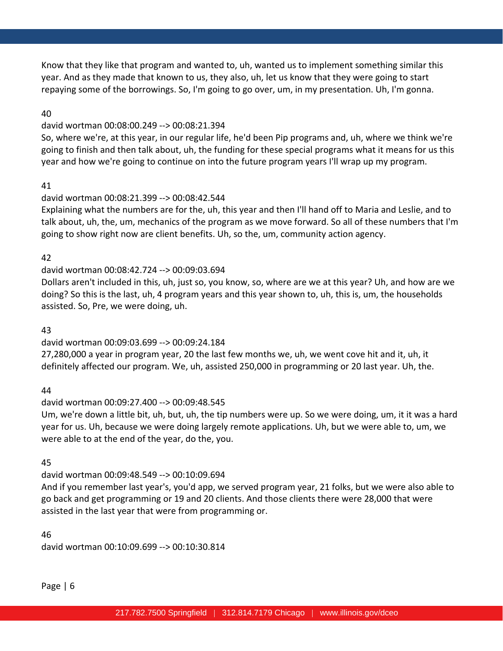Know that they like that program and wanted to, uh, wanted us to implement something similar this year. And as they made that known to us, they also, uh, let us know that they were going to start repaying some of the borrowings. So, I'm going to go over, um, in my presentation. Uh, I'm gonna.

### 40

### david wortman 00:08:00.249 --> 00:08:21.394

So, where we're, at this year, in our regular life, he'd been Pip programs and, uh, where we think we're going to finish and then talk about, uh, the funding for these special programs what it means for us this year and how we're going to continue on into the future program years I'll wrap up my program.

### 41

### david wortman 00:08:21.399 --> 00:08:42.544

Explaining what the numbers are for the, uh, this year and then I'll hand off to Maria and Leslie, and to talk about, uh, the, um, mechanics of the program as we move forward. So all of these numbers that I'm going to show right now are client benefits. Uh, so the, um, community action agency.

### 42

## david wortman 00:08:42.724 --> 00:09:03.694

Dollars aren't included in this, uh, just so, you know, so, where are we at this year? Uh, and how are we doing? So this is the last, uh, 4 program years and this year shown to, uh, this is, um, the households assisted. So, Pre, we were doing, uh.

### 43

## david wortman 00:09:03.699 --> 00:09:24.184

27,280,000 a year in program year, 20 the last few months we, uh, we went cove hit and it, uh, it definitely affected our program. We, uh, assisted 250,000 in programming or 20 last year. Uh, the.

## 44

## david wortman 00:09:27.400 --> 00:09:48.545

Um, we're down a little bit, uh, but, uh, the tip numbers were up. So we were doing, um, it it was a hard year for us. Uh, because we were doing largely remote applications. Uh, but we were able to, um, we were able to at the end of the year, do the, you.

## 45

## david wortman 00:09:48.549 --> 00:10:09.694

And if you remember last year's, you'd app, we served program year, 21 folks, but we were also able to go back and get programming or 19 and 20 clients. And those clients there were 28,000 that were assisted in the last year that were from programming or.

46 david wortman 00:10:09.699 --> 00:10:30.814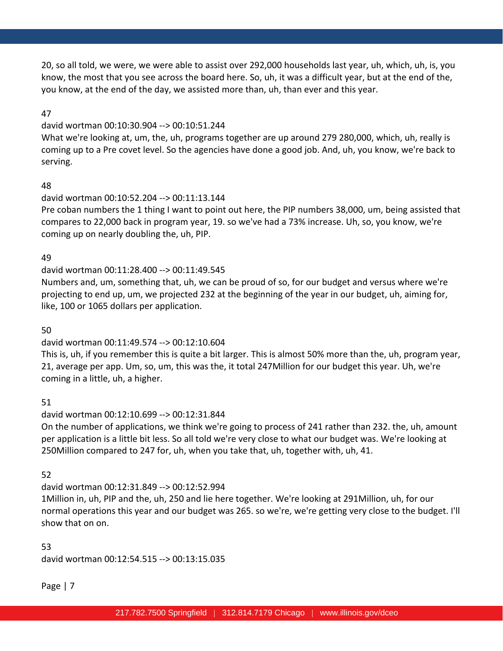20, so all told, we were, we were able to assist over 292,000 households last year, uh, which, uh, is, you know, the most that you see across the board here. So, uh, it was a difficult year, but at the end of the, you know, at the end of the day, we assisted more than, uh, than ever and this year.

### 47

### david wortman 00:10:30.904 --> 00:10:51.244

What we're looking at, um, the, uh, programs together are up around 279 280,000, which, uh, really is coming up to a Pre covet level. So the agencies have done a good job. And, uh, you know, we're back to serving.

### 48

### david wortman 00:10:52.204 --> 00:11:13.144

Pre coban numbers the 1 thing I want to point out here, the PIP numbers 38,000, um, being assisted that compares to 22,000 back in program year, 19. so we've had a 73% increase. Uh, so, you know, we're coming up on nearly doubling the, uh, PIP.

### 49

## david wortman 00:11:28.400 --> 00:11:49.545

Numbers and, um, something that, uh, we can be proud of so, for our budget and versus where we're projecting to end up, um, we projected 232 at the beginning of the year in our budget, uh, aiming for, like, 100 or 1065 dollars per application.

### 50

## david wortman 00:11:49.574 --> 00:12:10.604

This is, uh, if you remember this is quite a bit larger. This is almost 50% more than the, uh, program year, 21, average per app. Um, so, um, this was the, it total 247Million for our budget this year. Uh, we're coming in a little, uh, a higher.

## 51

## david wortman 00:12:10.699 --> 00:12:31.844

On the number of applications, we think we're going to process of 241 rather than 232. the, uh, amount per application is a little bit less. So all told we're very close to what our budget was. We're looking at 250Million compared to 247 for, uh, when you take that, uh, together with, uh, 41.

## 52

## david wortman 00:12:31.849 --> 00:12:52.994

1Million in, uh, PIP and the, uh, 250 and lie here together. We're looking at 291Million, uh, for our normal operations this year and our budget was 265. so we're, we're getting very close to the budget. I'll show that on on.

### 53

david wortman 00:12:54.515 --> 00:13:15.035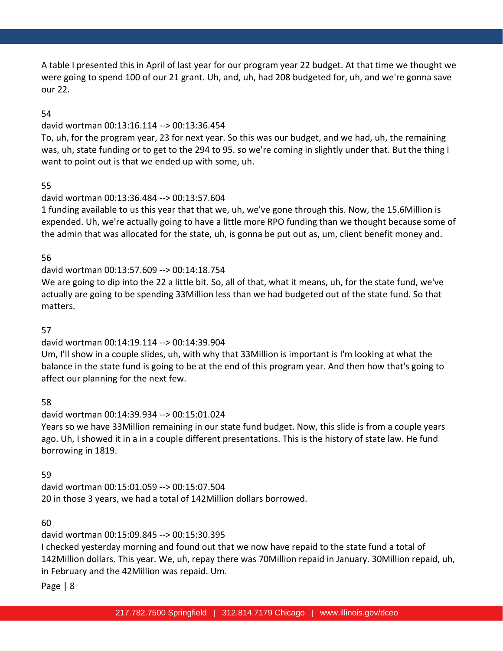A table I presented this in April of last year for our program year 22 budget. At that time we thought we were going to spend 100 of our 21 grant. Uh, and, uh, had 208 budgeted for, uh, and we're gonna save our 22.

### 54

### david wortman 00:13:16.114 --> 00:13:36.454

To, uh, for the program year, 23 for next year. So this was our budget, and we had, uh, the remaining was, uh, state funding or to get to the 294 to 95. so we're coming in slightly under that. But the thing I want to point out is that we ended up with some, uh.

### 55

### david wortman 00:13:36.484 --> 00:13:57.604

1 funding available to us this year that that we, uh, we've gone through this. Now, the 15.6Million is expended. Uh, we're actually going to have a little more RPO funding than we thought because some of the admin that was allocated for the state, uh, is gonna be put out as, um, client benefit money and.

### 56

## david wortman 00:13:57.609 --> 00:14:18.754

We are going to dip into the 22 a little bit. So, all of that, what it means, uh, for the state fund, we've actually are going to be spending 33Million less than we had budgeted out of the state fund. So that matters.

### 57

## david wortman 00:14:19.114 --> 00:14:39.904

Um, I'll show in a couple slides, uh, with why that 33Million is important is I'm looking at what the balance in the state fund is going to be at the end of this program year. And then how that's going to affect our planning for the next few.

## 58

# david wortman 00:14:39.934 --> 00:15:01.024

Years so we have 33Million remaining in our state fund budget. Now, this slide is from a couple years ago. Uh, I showed it in a in a couple different presentations. This is the history of state law. He fund borrowing in 1819.

## 59

david wortman 00:15:01.059 --> 00:15:07.504 20 in those 3 years, we had a total of 142Million dollars borrowed.

## 60

david wortman 00:15:09.845 --> 00:15:30.395

I checked yesterday morning and found out that we now have repaid to the state fund a total of 142Million dollars. This year. We, uh, repay there was 70Million repaid in January. 30Million repaid, uh, in February and the 42Million was repaid. Um.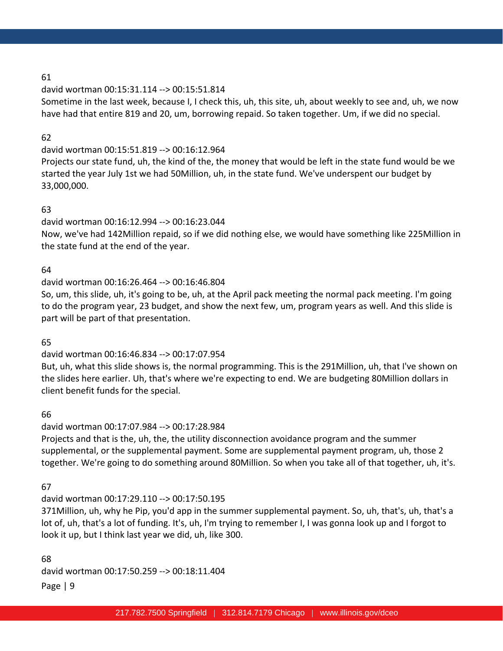### david wortman 00:15:31.114 --> 00:15:51.814

Sometime in the last week, because I, I check this, uh, this site, uh, about weekly to see and, uh, we now have had that entire 819 and 20, um, borrowing repaid. So taken together. Um, if we did no special.

## 62

## david wortman 00:15:51.819 --> 00:16:12.964

Projects our state fund, uh, the kind of the, the money that would be left in the state fund would be we started the year July 1st we had 50Million, uh, in the state fund. We've underspent our budget by 33,000,000.

## 63

## david wortman 00:16:12.994 --> 00:16:23.044

Now, we've had 142Million repaid, so if we did nothing else, we would have something like 225Million in the state fund at the end of the year.

## 64

## david wortman 00:16:26.464 --> 00:16:46.804

So, um, this slide, uh, it's going to be, uh, at the April pack meeting the normal pack meeting. I'm going to do the program year, 23 budget, and show the next few, um, program years as well. And this slide is part will be part of that presentation.

### 65

## david wortman 00:16:46.834 --> 00:17:07.954

But, uh, what this slide shows is, the normal programming. This is the 291Million, uh, that I've shown on the slides here earlier. Uh, that's where we're expecting to end. We are budgeting 80Million dollars in client benefit funds for the special.

### 66

## david wortman 00:17:07.984 --> 00:17:28.984

Projects and that is the, uh, the, the utility disconnection avoidance program and the summer supplemental, or the supplemental payment. Some are supplemental payment program, uh, those 2 together. We're going to do something around 80Million. So when you take all of that together, uh, it's.

## 67

## david wortman 00:17:29.110 --> 00:17:50.195

371Million, uh, why he Pip, you'd app in the summer supplemental payment. So, uh, that's, uh, that's a lot of, uh, that's a lot of funding. It's, uh, I'm trying to remember I, I was gonna look up and I forgot to look it up, but I think last year we did, uh, like 300.

Page | 9 68 david wortman 00:17:50.259 --> 00:18:11.404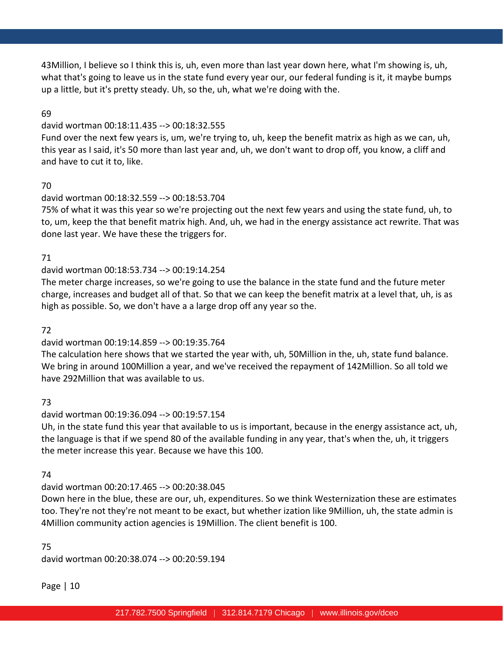43Million, I believe so I think this is, uh, even more than last year down here, what I'm showing is, uh, what that's going to leave us in the state fund every year our, our federal funding is it, it maybe bumps up a little, but it's pretty steady. Uh, so the, uh, what we're doing with the.

### 69

### david wortman 00:18:11.435 --> 00:18:32.555

Fund over the next few years is, um, we're trying to, uh, keep the benefit matrix as high as we can, uh, this year as I said, it's 50 more than last year and, uh, we don't want to drop off, you know, a cliff and and have to cut it to, like.

## 70

### david wortman 00:18:32.559 --> 00:18:53.704

75% of what it was this year so we're projecting out the next few years and using the state fund, uh, to to, um, keep the that benefit matrix high. And, uh, we had in the energy assistance act rewrite. That was done last year. We have these the triggers for.

### 71

## david wortman 00:18:53.734 --> 00:19:14.254

The meter charge increases, so we're going to use the balance in the state fund and the future meter charge, increases and budget all of that. So that we can keep the benefit matrix at a level that, uh, is as high as possible. So, we don't have a a large drop off any year so the.

### 72

## david wortman 00:19:14.859 --> 00:19:35.764

The calculation here shows that we started the year with, uh, 50Million in the, uh, state fund balance. We bring in around 100Million a year, and we've received the repayment of 142Million. So all told we have 292Million that was available to us.

## 73

### david wortman 00:19:36.094 --> 00:19:57.154

Uh, in the state fund this year that available to us is important, because in the energy assistance act, uh, the language is that if we spend 80 of the available funding in any year, that's when the, uh, it triggers the meter increase this year. Because we have this 100.

### 74

## david wortman 00:20:17.465 --> 00:20:38.045

Down here in the blue, these are our, uh, expenditures. So we think Westernization these are estimates too. They're not they're not meant to be exact, but whether ization like 9Million, uh, the state admin is 4Million community action agencies is 19Million. The client benefit is 100.

### 75

david wortman 00:20:38.074 --> 00:20:59.194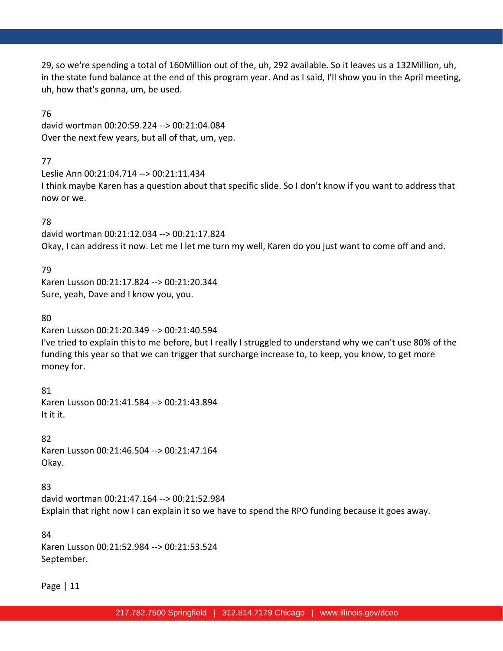29, so we're spending a total of 160Million out of the, uh, 292 available. So it leaves us a 132Million, uh, in the state fund balance at the end of this program year. And as I said, I'll show you in the April meeting, uh, how that's gonna, um, be used.

### 76

david wortman 00:20:59.224 --> 00:21:04.084 Over the next few years, but all of that, um, yep.

## 77

Leslie Ann 00:21:04.714 --> 00:21:11.434 I think maybe Karen has a question about that specific slide. So I don't know if you want to address that now or we.

## 78

david wortman 00:21:12.034 --> 00:21:17.824 Okay, I can address it now. Let me I let me turn my well, Karen do you just want to come off and and.

## 79

Karen Lusson 00:21:17.824 --> 00:21:20.344 Sure, yeah, Dave and I know you, you.

## 80

Karen Lusson 00:21:20.349 --> 00:21:40.594 I've tried to explain this to me before, but I really I struggled to understand why we can't use 80% of the funding this year so that we can trigger that surcharge increase to, to keep, you know, to get more money for.

81 Karen Lusson 00:21:41.584 --> 00:21:43.894 It it it.

## 82

Karen Lusson 00:21:46.504 --> 00:21:47.164 Okay.

## 83

david wortman 00:21:47.164 --> 00:21:52.984 Explain that right now I can explain it so we have to spend the RPO funding because it goes away.

## 84

Karen Lusson 00:21:52.984 --> 00:21:53.524 September.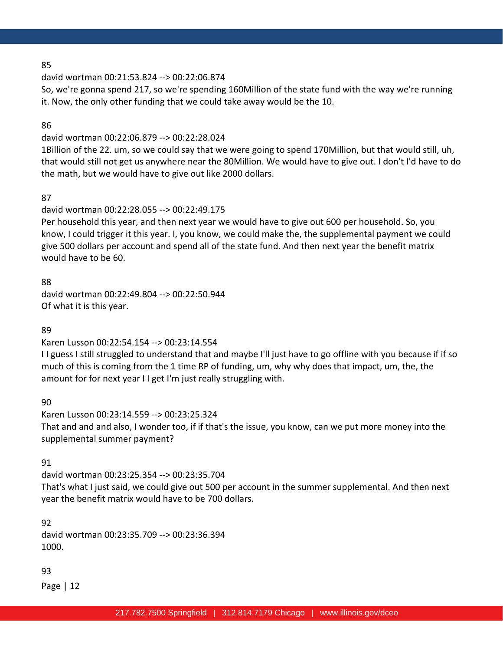david wortman 00:21:53.824 --> 00:22:06.874

So, we're gonna spend 217, so we're spending 160Million of the state fund with the way we're running it. Now, the only other funding that we could take away would be the 10.

86

### david wortman 00:22:06.879 --> 00:22:28.024

1Billion of the 22. um, so we could say that we were going to spend 170Million, but that would still, uh, that would still not get us anywhere near the 80Million. We would have to give out. I don't I'd have to do the math, but we would have to give out like 2000 dollars.

### 87

### david wortman 00:22:28.055 --> 00:22:49.175

Per household this year, and then next year we would have to give out 600 per household. So, you know, I could trigger it this year. I, you know, we could make the, the supplemental payment we could give 500 dollars per account and spend all of the state fund. And then next year the benefit matrix would have to be 60.

### 88

david wortman 00:22:49.804 --> 00:22:50.944 Of what it is this year.

### 89

Karen Lusson 00:22:54.154 --> 00:23:14.554

I I guess I still struggled to understand that and maybe I'll just have to go offline with you because if if so much of this is coming from the 1 time RP of funding, um, why why does that impact, um, the, the amount for for next year I I get I'm just really struggling with.

90

Karen Lusson 00:23:14.559 --> 00:23:25.324 That and and and also, I wonder too, if if that's the issue, you know, can we put more money into the supplemental summer payment?

## 91

david wortman 00:23:25.354 --> 00:23:35.704 That's what I just said, we could give out 500 per account in the summer supplemental. And then next year the benefit matrix would have to be 700 dollars.

92 david wortman 00:23:35.709 --> 00:23:36.394 1000.

## 93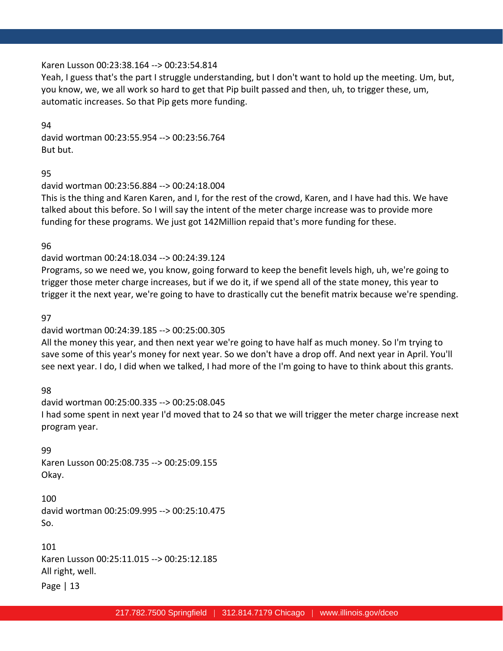### Karen Lusson 00:23:38.164 --> 00:23:54.814

Yeah, I guess that's the part I struggle understanding, but I don't want to hold up the meeting. Um, but, you know, we, we all work so hard to get that Pip built passed and then, uh, to trigger these, um, automatic increases. So that Pip gets more funding.

94 david wortman 00:23:55.954 --> 00:23:56.764 But but.

95

david wortman 00:23:56.884 --> 00:24:18.004

This is the thing and Karen Karen, and I, for the rest of the crowd, Karen, and I have had this. We have talked about this before. So I will say the intent of the meter charge increase was to provide more funding for these programs. We just got 142Million repaid that's more funding for these.

96

### david wortman 00:24:18.034 --> 00:24:39.124

Programs, so we need we, you know, going forward to keep the benefit levels high, uh, we're going to trigger those meter charge increases, but if we do it, if we spend all of the state money, this year to trigger it the next year, we're going to have to drastically cut the benefit matrix because we're spending.

### 97

### david wortman 00:24:39.185 --> 00:25:00.305

All the money this year, and then next year we're going to have half as much money. So I'm trying to save some of this year's money for next year. So we don't have a drop off. And next year in April. You'll see next year. I do, I did when we talked, I had more of the I'm going to have to think about this grants.

98

david wortman 00:25:00.335 --> 00:25:08.045 I had some spent in next year I'd moved that to 24 so that we will trigger the meter charge increase next program year.

99

Karen Lusson 00:25:08.735 --> 00:25:09.155 Okay.

100 david wortman 00:25:09.995 --> 00:25:10.475 So.

101 Karen Lusson 00:25:11.015 --> 00:25:12.185 All right, well.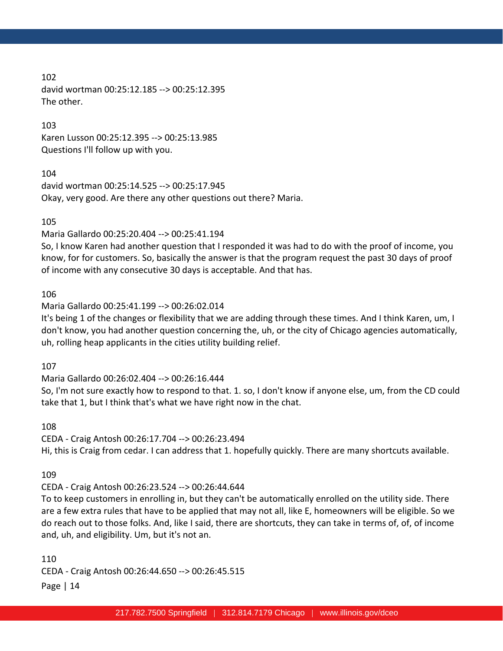102 david wortman 00:25:12.185 --> 00:25:12.395 The other.

103

Karen Lusson 00:25:12.395 --> 00:25:13.985 Questions I'll follow up with you.

104

david wortman 00:25:14.525 --> 00:25:17.945 Okay, very good. Are there any other questions out there? Maria.

105

Maria Gallardo 00:25:20.404 --> 00:25:41.194

So, I know Karen had another question that I responded it was had to do with the proof of income, you know, for for customers. So, basically the answer is that the program request the past 30 days of proof of income with any consecutive 30 days is acceptable. And that has.

106

Maria Gallardo 00:25:41.199 --> 00:26:02.014

It's being 1 of the changes or flexibility that we are adding through these times. And I think Karen, um, I don't know, you had another question concerning the, uh, or the city of Chicago agencies automatically, uh, rolling heap applicants in the cities utility building relief.

107

Maria Gallardo 00:26:02.404 --> 00:26:16.444

So, I'm not sure exactly how to respond to that. 1. so, I don't know if anyone else, um, from the CD could take that 1, but I think that's what we have right now in the chat.

108

CEDA - Craig Antosh 00:26:17.704 --> 00:26:23.494 Hi, this is Craig from cedar. I can address that 1. hopefully quickly. There are many shortcuts available.

109

CEDA - Craig Antosh 00:26:23.524 --> 00:26:44.644

To to keep customers in enrolling in, but they can't be automatically enrolled on the utility side. There are a few extra rules that have to be applied that may not all, like E, homeowners will be eligible. So we do reach out to those folks. And, like I said, there are shortcuts, they can take in terms of, of, of income and, uh, and eligibility. Um, but it's not an.

110

CEDA - Craig Antosh 00:26:44.650 --> 00:26:45.515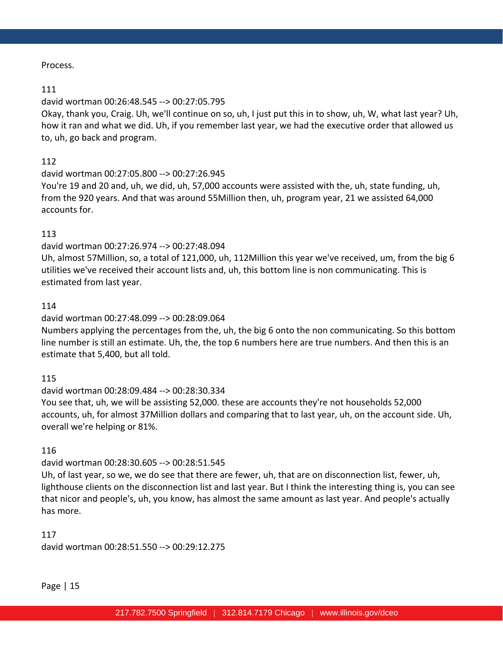### Process.

### 111

## david wortman 00:26:48.545 --> 00:27:05.795

Okay, thank you, Craig. Uh, we'll continue on so, uh, I just put this in to show, uh, W, what last year? Uh, how it ran and what we did. Uh, if you remember last year, we had the executive order that allowed us to, uh, go back and program.

### 112

david wortman 00:27:05.800 --> 00:27:26.945

You're 19 and 20 and, uh, we did, uh, 57,000 accounts were assisted with the, uh, state funding, uh, from the 920 years. And that was around 55Million then, uh, program year, 21 we assisted 64,000 accounts for.

### 113

### david wortman 00:27:26.974 --> 00:27:48.094

Uh, almost 57Million, so, a total of 121,000, uh, 112Million this year we've received, um, from the big 6 utilities we've received their account lists and, uh, this bottom line is non communicating. This is estimated from last year.

### 114

## david wortman 00:27:48.099 --> 00:28:09.064

Numbers applying the percentages from the, uh, the big 6 onto the non communicating. So this bottom line number is still an estimate. Uh, the, the top 6 numbers here are true numbers. And then this is an estimate that 5,400, but all told.

### 115

david wortman 00:28:09.484 --> 00:28:30.334 You see that, uh, we will be assisting 52,000. these are accounts they're not households 52,000 accounts, uh, for almost 37Million dollars and comparing that to last year, uh, on the account side. Uh, overall we're helping or 81%.

### 116

### david wortman 00:28:30.605 --> 00:28:51.545

Uh, of last year, so we, we do see that there are fewer, uh, that are on disconnection list, fewer, uh, lighthouse clients on the disconnection list and last year. But I think the interesting thing is, you can see that nicor and people's, uh, you know, has almost the same amount as last year. And people's actually has more.

117 david wortman 00:28:51.550 --> 00:29:12.275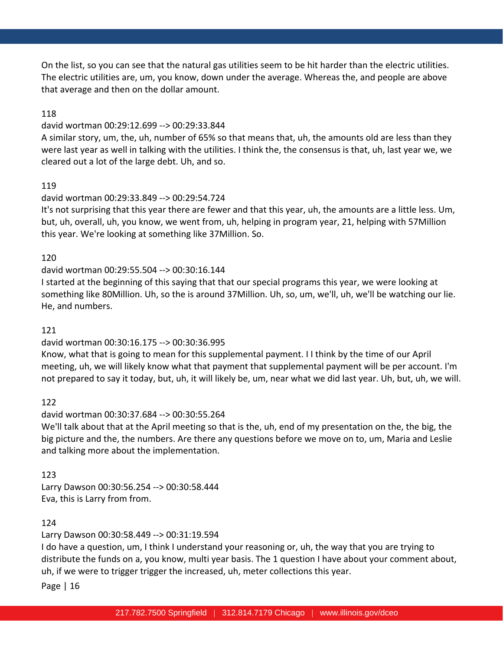On the list, so you can see that the natural gas utilities seem to be hit harder than the electric utilities. The electric utilities are, um, you know, down under the average. Whereas the, and people are above that average and then on the dollar amount.

### 118

### david wortman 00:29:12.699 --> 00:29:33.844

A similar story, um, the, uh, number of 65% so that means that, uh, the amounts old are less than they were last year as well in talking with the utilities. I think the, the consensus is that, uh, last year we, we cleared out a lot of the large debt. Uh, and so.

### 119

## david wortman 00:29:33.849 --> 00:29:54.724

It's not surprising that this year there are fewer and that this year, uh, the amounts are a little less. Um, but, uh, overall, uh, you know, we went from, uh, helping in program year, 21, helping with 57Million this year. We're looking at something like 37Million. So.

### 120

### david wortman 00:29:55.504 --> 00:30:16.144

I started at the beginning of this saying that that our special programs this year, we were looking at something like 80Million. Uh, so the is around 37Million. Uh, so, um, we'll, uh, we'll be watching our lie. He, and numbers.

### 121

## david wortman 00:30:16.175 --> 00:30:36.995

Know, what that is going to mean for this supplemental payment. I I think by the time of our April meeting, uh, we will likely know what that payment that supplemental payment will be per account. I'm not prepared to say it today, but, uh, it will likely be, um, near what we did last year. Uh, but, uh, we will.

## 122

## david wortman 00:30:37.684 --> 00:30:55.264

We'll talk about that at the April meeting so that is the, uh, end of my presentation on the, the big, the big picture and the, the numbers. Are there any questions before we move on to, um, Maria and Leslie and talking more about the implementation.

## 123

Larry Dawson 00:30:56.254 --> 00:30:58.444 Eva, this is Larry from from.

## 124

Larry Dawson 00:30:58.449 --> 00:31:19.594

I do have a question, um, I think I understand your reasoning or, uh, the way that you are trying to distribute the funds on a, you know, multi year basis. The 1 question I have about your comment about, uh, if we were to trigger trigger the increased, uh, meter collections this year.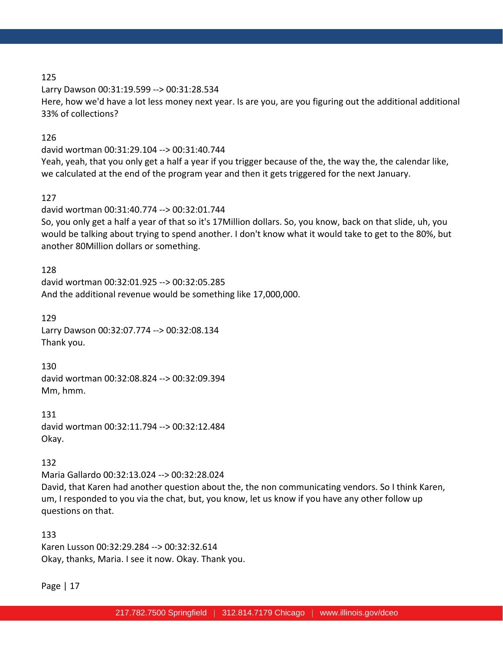Larry Dawson 00:31:19.599 --> 00:31:28.534 Here, how we'd have a lot less money next year. Is are you, are you figuring out the additional additional 33% of collections?

## 126

david wortman 00:31:29.104 --> 00:31:40.744 Yeah, yeah, that you only get a half a year if you trigger because of the, the way the, the calendar like, we calculated at the end of the program year and then it gets triggered for the next January.

## 127

david wortman 00:31:40.774 --> 00:32:01.744 So, you only get a half a year of that so it's 17Million dollars. So, you know, back on that slide, uh, you would be talking about trying to spend another. I don't know what it would take to get to the 80%, but another 80Million dollars or something.

128 david wortman 00:32:01.925 --> 00:32:05.285 And the additional revenue would be something like 17,000,000.

129 Larry Dawson 00:32:07.774 --> 00:32:08.134 Thank you.

130 david wortman 00:32:08.824 --> 00:32:09.394 Mm, hmm.

131 david wortman 00:32:11.794 --> 00:32:12.484 Okay.

## 132

Maria Gallardo 00:32:13.024 --> 00:32:28.024 David, that Karen had another question about the, the non communicating vendors. So I think Karen, um, I responded to you via the chat, but, you know, let us know if you have any other follow up questions on that.

133 Karen Lusson 00:32:29.284 --> 00:32:32.614 Okay, thanks, Maria. I see it now. Okay. Thank you.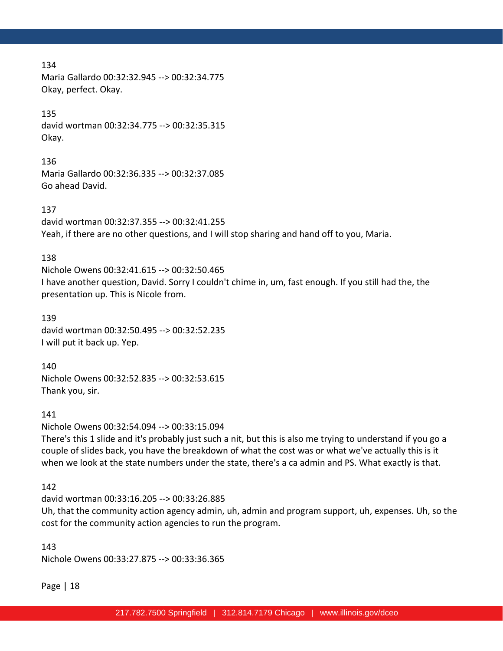Maria Gallardo 00:32:32.945 --> 00:32:34.775 Okay, perfect. Okay.

### 135

david wortman 00:32:34.775 --> 00:32:35.315 Okay.

#### 136

Maria Gallardo 00:32:36.335 --> 00:32:37.085 Go ahead David.

### 137

david wortman 00:32:37.355 --> 00:32:41.255 Yeah, if there are no other questions, and I will stop sharing and hand off to you, Maria.

### 138

Nichole Owens 00:32:41.615 --> 00:32:50.465 I have another question, David. Sorry I couldn't chime in, um, fast enough. If you still had the, the presentation up. This is Nicole from.

139 david wortman 00:32:50.495 --> 00:32:52.235 I will put it back up. Yep.

140 Nichole Owens 00:32:52.835 --> 00:32:53.615 Thank you, sir.

### 141

Nichole Owens 00:32:54.094 --> 00:33:15.094

There's this 1 slide and it's probably just such a nit, but this is also me trying to understand if you go a couple of slides back, you have the breakdown of what the cost was or what we've actually this is it when we look at the state numbers under the state, there's a ca admin and PS. What exactly is that.

142

david wortman 00:33:16.205 --> 00:33:26.885

Uh, that the community action agency admin, uh, admin and program support, uh, expenses. Uh, so the cost for the community action agencies to run the program.

143 Nichole Owens 00:33:27.875 --> 00:33:36.365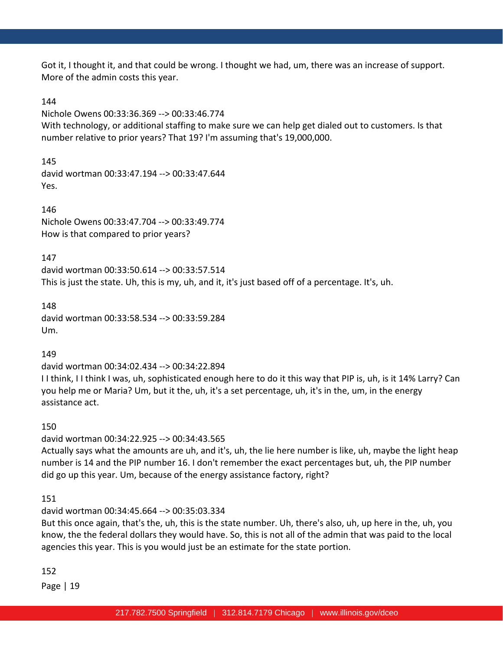Got it, I thought it, and that could be wrong. I thought we had, um, there was an increase of support. More of the admin costs this year.

### 144

Nichole Owens 00:33:36.369 --> 00:33:46.774

With technology, or additional staffing to make sure we can help get dialed out to customers. Is that number relative to prior years? That 19? I'm assuming that's 19,000,000.

145 david wortman 00:33:47.194 --> 00:33:47.644 Yes.

146 Nichole Owens 00:33:47.704 --> 00:33:49.774 How is that compared to prior years?

147

david wortman 00:33:50.614 --> 00:33:57.514 This is just the state. Uh, this is my, uh, and it, it's just based off of a percentage. It's, uh.

148 david wortman 00:33:58.534 --> 00:33:59.284 Um.

149

david wortman 00:34:02.434 --> 00:34:22.894

I I think, I I think I was, uh, sophisticated enough here to do it this way that PIP is, uh, is it 14% Larry? Can you help me or Maria? Um, but it the, uh, it's a set percentage, uh, it's in the, um, in the energy assistance act.

150

david wortman 00:34:22.925 --> 00:34:43.565

Actually says what the amounts are uh, and it's, uh, the lie here number is like, uh, maybe the light heap number is 14 and the PIP number 16. I don't remember the exact percentages but, uh, the PIP number did go up this year. Um, because of the energy assistance factory, right?

151

david wortman 00:34:45.664 --> 00:35:03.334

But this once again, that's the, uh, this is the state number. Uh, there's also, uh, up here in the, uh, you know, the the federal dollars they would have. So, this is not all of the admin that was paid to the local agencies this year. This is you would just be an estimate for the state portion.

152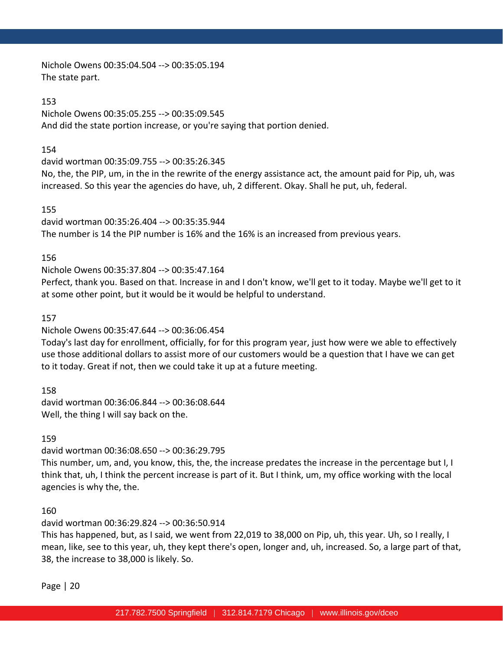Nichole Owens 00:35:04.504 --> 00:35:05.194 The state part.

### 153

Nichole Owens 00:35:05.255 --> 00:35:09.545 And did the state portion increase, or you're saying that portion denied.

### 154

david wortman 00:35:09.755 --> 00:35:26.345

No, the, the PIP, um, in the in the rewrite of the energy assistance act, the amount paid for Pip, uh, was increased. So this year the agencies do have, uh, 2 different. Okay. Shall he put, uh, federal.

### 155

david wortman 00:35:26.404 --> 00:35:35.944 The number is 14 the PIP number is 16% and the 16% is an increased from previous years.

### 156

Nichole Owens 00:35:37.804 --> 00:35:47.164

Perfect, thank you. Based on that. Increase in and I don't know, we'll get to it today. Maybe we'll get to it at some other point, but it would be it would be helpful to understand.

### 157

Nichole Owens 00:35:47.644 --> 00:36:06.454

Today's last day for enrollment, officially, for for this program year, just how were we able to effectively use those additional dollars to assist more of our customers would be a question that I have we can get to it today. Great if not, then we could take it up at a future meeting.

158

david wortman 00:36:06.844 --> 00:36:08.644 Well, the thing I will say back on the.

### 159

david wortman 00:36:08.650 --> 00:36:29.795

This number, um, and, you know, this, the, the increase predates the increase in the percentage but I, I think that, uh, I think the percent increase is part of it. But I think, um, my office working with the local agencies is why the, the.

### 160

david wortman 00:36:29.824 --> 00:36:50.914

This has happened, but, as I said, we went from 22,019 to 38,000 on Pip, uh, this year. Uh, so I really, I mean, like, see to this year, uh, they kept there's open, longer and, uh, increased. So, a large part of that, 38, the increase to 38,000 is likely. So.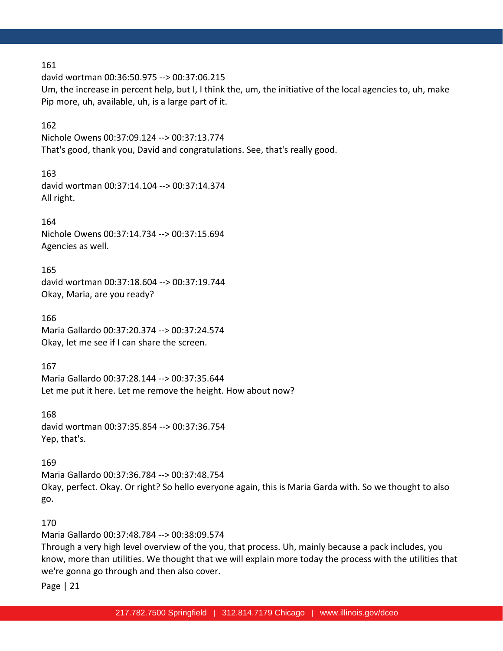david wortman 00:36:50.975 --> 00:37:06.215 Um, the increase in percent help, but I, I think the, um, the initiative of the local agencies to, uh, make Pip more, uh, available, uh, is a large part of it.

### 162

Nichole Owens 00:37:09.124 --> 00:37:13.774 That's good, thank you, David and congratulations. See, that's really good.

### 163

david wortman 00:37:14.104 --> 00:37:14.374 All right.

### 164

Nichole Owens 00:37:14.734 --> 00:37:15.694 Agencies as well.

165

david wortman 00:37:18.604 --> 00:37:19.744 Okay, Maria, are you ready?

166 Maria Gallardo 00:37:20.374 --> 00:37:24.574 Okay, let me see if I can share the screen.

### 167

Maria Gallardo 00:37:28.144 --> 00:37:35.644 Let me put it here. Let me remove the height. How about now?

### 168

david wortman 00:37:35.854 --> 00:37:36.754 Yep, that's.

## 169

Maria Gallardo 00:37:36.784 --> 00:37:48.754 Okay, perfect. Okay. Or right? So hello everyone again, this is Maria Garda with. So we thought to also go.

## 170

Maria Gallardo 00:37:48.784 --> 00:38:09.574

Through a very high level overview of the you, that process. Uh, mainly because a pack includes, you know, more than utilities. We thought that we will explain more today the process with the utilities that we're gonna go through and then also cover.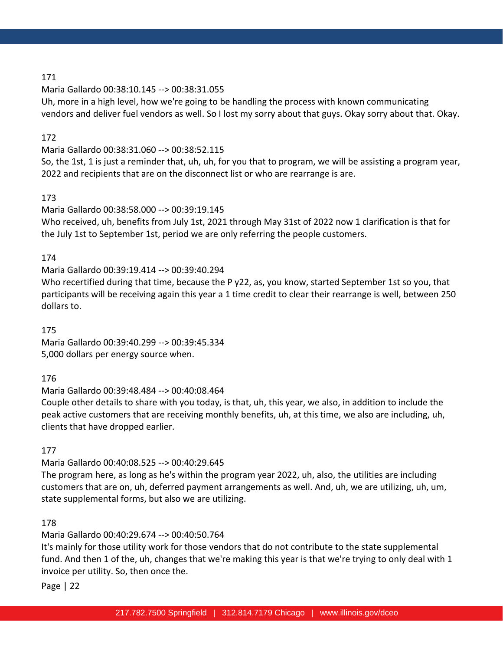Maria Gallardo 00:38:10.145 --> 00:38:31.055

Uh, more in a high level, how we're going to be handling the process with known communicating vendors and deliver fuel vendors as well. So I lost my sorry about that guys. Okay sorry about that. Okay.

## 172

Maria Gallardo 00:38:31.060 --> 00:38:52.115

So, the 1st, 1 is just a reminder that, uh, uh, for you that to program, we will be assisting a program year, 2022 and recipients that are on the disconnect list or who are rearrange is are.

## 173

Maria Gallardo 00:38:58.000 --> 00:39:19.145

Who received, uh, benefits from July 1st, 2021 through May 31st of 2022 now 1 clarification is that for the July 1st to September 1st, period we are only referring the people customers.

## 174

Maria Gallardo 00:39:19.414 --> 00:39:40.294

Who recertified during that time, because the P y22, as, you know, started September 1st so you, that participants will be receiving again this year a 1 time credit to clear their rearrange is well, between 250 dollars to.

175 Maria Gallardo 00:39:40.299 --> 00:39:45.334 5,000 dollars per energy source when.

## 176

Maria Gallardo 00:39:48.484 --> 00:40:08.464

Couple other details to share with you today, is that, uh, this year, we also, in addition to include the peak active customers that are receiving monthly benefits, uh, at this time, we also are including, uh, clients that have dropped earlier.

## 177

Maria Gallardo 00:40:08.525 --> 00:40:29.645

The program here, as long as he's within the program year 2022, uh, also, the utilities are including customers that are on, uh, deferred payment arrangements as well. And, uh, we are utilizing, uh, um, state supplemental forms, but also we are utilizing.

## 178

Maria Gallardo 00:40:29.674 --> 00:40:50.764

It's mainly for those utility work for those vendors that do not contribute to the state supplemental fund. And then 1 of the, uh, changes that we're making this year is that we're trying to only deal with 1 invoice per utility. So, then once the.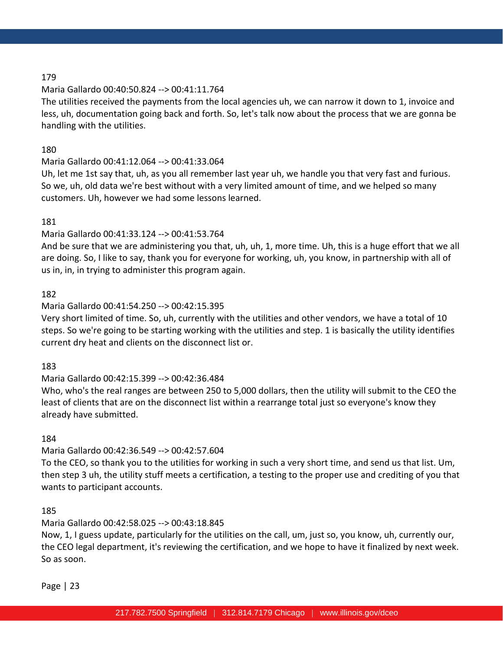## Maria Gallardo 00:40:50.824 --> 00:41:11.764

The utilities received the payments from the local agencies uh, we can narrow it down to 1, invoice and less, uh, documentation going back and forth. So, let's talk now about the process that we are gonna be handling with the utilities.

## 180

## Maria Gallardo 00:41:12.064 --> 00:41:33.064

Uh, let me 1st say that, uh, as you all remember last year uh, we handle you that very fast and furious. So we, uh, old data we're best without with a very limited amount of time, and we helped so many customers. Uh, however we had some lessons learned.

## 181

## Maria Gallardo 00:41:33.124 --> 00:41:53.764

And be sure that we are administering you that, uh, uh, 1, more time. Uh, this is a huge effort that we all are doing. So, I like to say, thank you for everyone for working, uh, you know, in partnership with all of us in, in, in trying to administer this program again.

## 182

## Maria Gallardo 00:41:54.250 --> 00:42:15.395

Very short limited of time. So, uh, currently with the utilities and other vendors, we have a total of 10 steps. So we're going to be starting working with the utilities and step. 1 is basically the utility identifies current dry heat and clients on the disconnect list or.

## 183

## Maria Gallardo 00:42:15.399 --> 00:42:36.484

Who, who's the real ranges are between 250 to 5,000 dollars, then the utility will submit to the CEO the least of clients that are on the disconnect list within a rearrange total just so everyone's know they already have submitted.

## 184

## Maria Gallardo 00:42:36.549 --> 00:42:57.604

To the CEO, so thank you to the utilities for working in such a very short time, and send us that list. Um, then step 3 uh, the utility stuff meets a certification, a testing to the proper use and crediting of you that wants to participant accounts.

## 185

## Maria Gallardo 00:42:58.025 --> 00:43:18.845

Now, 1, I guess update, particularly for the utilities on the call, um, just so, you know, uh, currently our, the CEO legal department, it's reviewing the certification, and we hope to have it finalized by next week. So as soon.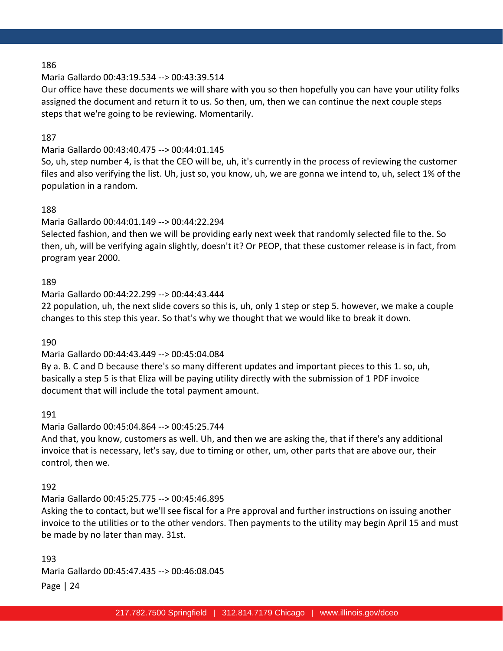### Maria Gallardo 00:43:19.534 --> 00:43:39.514

Our office have these documents we will share with you so then hopefully you can have your utility folks assigned the document and return it to us. So then, um, then we can continue the next couple steps steps that we're going to be reviewing. Momentarily.

### 187

## Maria Gallardo 00:43:40.475 --> 00:44:01.145

So, uh, step number 4, is that the CEO will be, uh, it's currently in the process of reviewing the customer files and also verifying the list. Uh, just so, you know, uh, we are gonna we intend to, uh, select 1% of the population in a random.

### 188

### Maria Gallardo 00:44:01.149 --> 00:44:22.294

Selected fashion, and then we will be providing early next week that randomly selected file to the. So then, uh, will be verifying again slightly, doesn't it? Or PEOP, that these customer release is in fact, from program year 2000.

### 189

### Maria Gallardo 00:44:22.299 --> 00:44:43.444

22 population, uh, the next slide covers so this is, uh, only 1 step or step 5. however, we make a couple changes to this step this year. So that's why we thought that we would like to break it down.

### 190

## Maria Gallardo 00:44:43.449 --> 00:45:04.084

By a. B. C and D because there's so many different updates and important pieces to this 1. so, uh, basically a step 5 is that Eliza will be paying utility directly with the submission of 1 PDF invoice document that will include the total payment amount.

### 191

## Maria Gallardo 00:45:04.864 --> 00:45:25.744

And that, you know, customers as well. Uh, and then we are asking the, that if there's any additional invoice that is necessary, let's say, due to timing or other, um, other parts that are above our, their control, then we.

### 192

## Maria Gallardo 00:45:25.775 --> 00:45:46.895

Asking the to contact, but we'll see fiscal for a Pre approval and further instructions on issuing another invoice to the utilities or to the other vendors. Then payments to the utility may begin April 15 and must be made by no later than may. 31st.

Page | 24 193 Maria Gallardo 00:45:47.435 --> 00:46:08.045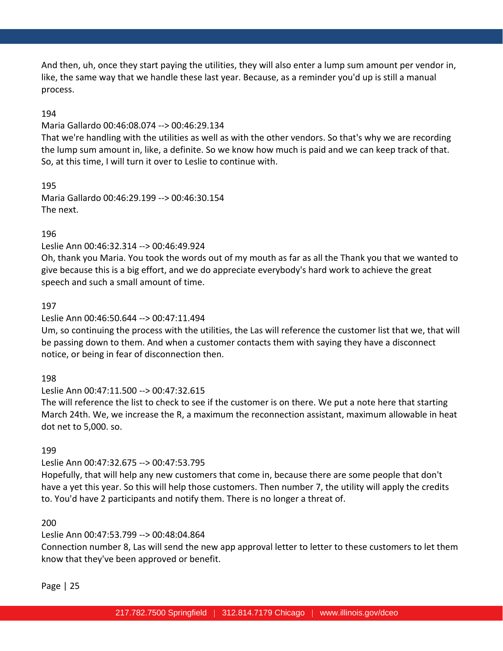And then, uh, once they start paying the utilities, they will also enter a lump sum amount per vendor in, like, the same way that we handle these last year. Because, as a reminder you'd up is still a manual process.

### 194

### Maria Gallardo 00:46:08.074 --> 00:46:29.134

That we're handling with the utilities as well as with the other vendors. So that's why we are recording the lump sum amount in, like, a definite. So we know how much is paid and we can keep track of that. So, at this time, I will turn it over to Leslie to continue with.

195 Maria Gallardo 00:46:29.199 --> 00:46:30.154 The next.

### 196

### Leslie Ann 00:46:32.314 --> 00:46:49.924

Oh, thank you Maria. You took the words out of my mouth as far as all the Thank you that we wanted to give because this is a big effort, and we do appreciate everybody's hard work to achieve the great speech and such a small amount of time.

### 197

### Leslie Ann 00:46:50.644 --> 00:47:11.494

Um, so continuing the process with the utilities, the Las will reference the customer list that we, that will be passing down to them. And when a customer contacts them with saying they have a disconnect notice, or being in fear of disconnection then.

### 198

### Leslie Ann 00:47:11.500 --> 00:47:32.615

The will reference the list to check to see if the customer is on there. We put a note here that starting March 24th. We, we increase the R, a maximum the reconnection assistant, maximum allowable in heat dot net to 5,000. so.

### 199

### Leslie Ann 00:47:32.675 --> 00:47:53.795

Hopefully, that will help any new customers that come in, because there are some people that don't have a yet this year. So this will help those customers. Then number 7, the utility will apply the credits to. You'd have 2 participants and notify them. There is no longer a threat of.

### 200

### Leslie Ann 00:47:53.799 --> 00:48:04.864

Connection number 8, Las will send the new app approval letter to letter to these customers to let them know that they've been approved or benefit.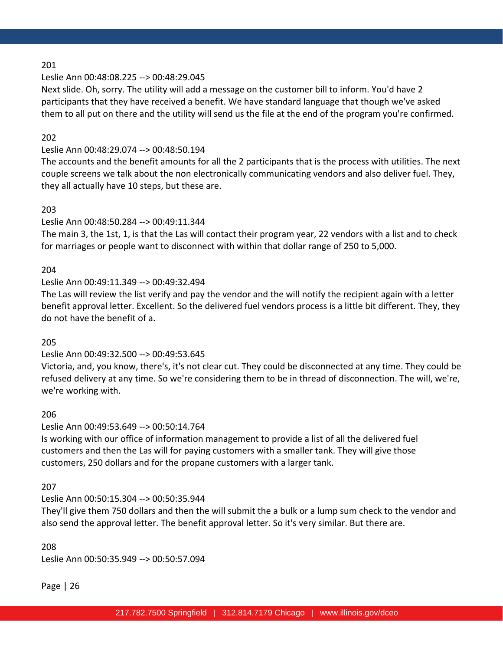## Leslie Ann 00:48:08.225 --> 00:48:29.045

Next slide. Oh, sorry. The utility will add a message on the customer bill to inform. You'd have 2 participants that they have received a benefit. We have standard language that though we've asked them to all put on there and the utility will send us the file at the end of the program you're confirmed.

### 202

## Leslie Ann 00:48:29.074 --> 00:48:50.194

The accounts and the benefit amounts for all the 2 participants that is the process with utilities. The next couple screens we talk about the non electronically communicating vendors and also deliver fuel. They, they all actually have 10 steps, but these are.

### 203

### Leslie Ann 00:48:50.284 --> 00:49:11.344

The main 3, the 1st, 1, is that the Las will contact their program year, 22 vendors with a list and to check for marriages or people want to disconnect with within that dollar range of 250 to 5,000.

### 204

### Leslie Ann 00:49:11.349 --> 00:49:32.494

The Las will review the list verify and pay the vendor and the will notify the recipient again with a letter benefit approval letter. Excellent. So the delivered fuel vendors process is a little bit different. They, they do not have the benefit of a.

### 205

## Leslie Ann 00:49:32.500 --> 00:49:53.645

Victoria, and, you know, there's, it's not clear cut. They could be disconnected at any time. They could be refused delivery at any time. So we're considering them to be in thread of disconnection. The will, we're, we're working with.

### 206

### Leslie Ann 00:49:53.649 --> 00:50:14.764

Is working with our office of information management to provide a list of all the delivered fuel customers and then the Las will for paying customers with a smaller tank. They will give those customers, 250 dollars and for the propane customers with a larger tank.

### 207

### Leslie Ann 00:50:15.304 --> 00:50:35.944

They'll give them 750 dollars and then the will submit the a bulk or a lump sum check to the vendor and also send the approval letter. The benefit approval letter. So it's very similar. But there are.

### 208

Leslie Ann 00:50:35.949 --> 00:50:57.094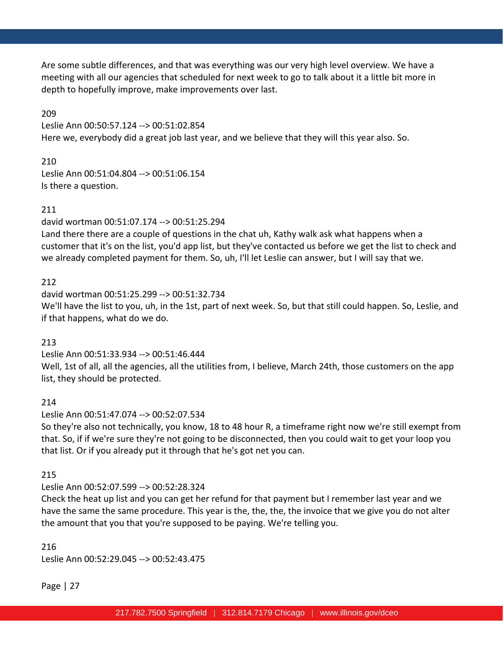Are some subtle differences, and that was everything was our very high level overview. We have a meeting with all our agencies that scheduled for next week to go to talk about it a little bit more in depth to hopefully improve, make improvements over last.

209

Leslie Ann 00:50:57.124 --> 00:51:02.854 Here we, everybody did a great job last year, and we believe that they will this year also. So.

## 210

Leslie Ann 00:51:04.804 --> 00:51:06.154 Is there a question.

## 211

david wortman 00:51:07.174 --> 00:51:25.294 Land there there are a couple of questions in the chat uh, Kathy walk ask what happens when a customer that it's on the list, you'd app list, but they've contacted us before we get the list to check and we already completed payment for them. So, uh, I'll let Leslie can answer, but I will say that we.

## 212

david wortman 00:51:25.299 --> 00:51:32.734 We'll have the list to you, uh, in the 1st, part of next week. So, but that still could happen. So, Leslie, and if that happens, what do we do.

## 213

Leslie Ann 00:51:33.934 --> 00:51:46.444

Well, 1st of all, all the agencies, all the utilities from, I believe, March 24th, those customers on the app list, they should be protected.

## 214

## Leslie Ann 00:51:47.074 --> 00:52:07.534

So they're also not technically, you know, 18 to 48 hour R, a timeframe right now we're still exempt from that. So, if if we're sure they're not going to be disconnected, then you could wait to get your loop you that list. Or if you already put it through that he's got net you can.

## 215

## Leslie Ann 00:52:07.599 --> 00:52:28.324

Check the heat up list and you can get her refund for that payment but I remember last year and we have the same the same procedure. This year is the, the, the, the invoice that we give you do not alter the amount that you that you're supposed to be paying. We're telling you.

216 Leslie Ann 00:52:29.045 --> 00:52:43.475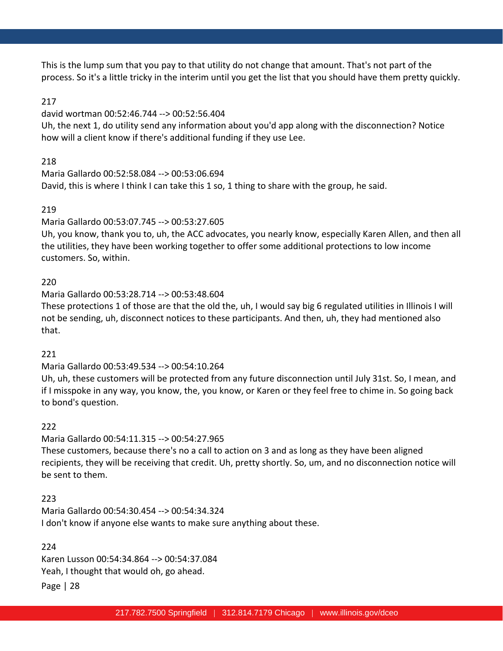This is the lump sum that you pay to that utility do not change that amount. That's not part of the process. So it's a little tricky in the interim until you get the list that you should have them pretty quickly.

### 217

### david wortman 00:52:46.744 --> 00:52:56.404

Uh, the next 1, do utility send any information about you'd app along with the disconnection? Notice how will a client know if there's additional funding if they use Lee.

## 218

Maria Gallardo 00:52:58.084 --> 00:53:06.694 David, this is where I think I can take this 1 so, 1 thing to share with the group, he said.

## 219

### Maria Gallardo 00:53:07.745 --> 00:53:27.605

Uh, you know, thank you to, uh, the ACC advocates, you nearly know, especially Karen Allen, and then all the utilities, they have been working together to offer some additional protections to low income customers. So, within.

### 220

Maria Gallardo 00:53:28.714 --> 00:53:48.604

These protections 1 of those are that the old the, uh, I would say big 6 regulated utilities in Illinois I will not be sending, uh, disconnect notices to these participants. And then, uh, they had mentioned also that.

## 221

### Maria Gallardo 00:53:49.534 --> 00:54:10.264

Uh, uh, these customers will be protected from any future disconnection until July 31st. So, I mean, and if I misspoke in any way, you know, the, you know, or Karen or they feel free to chime in. So going back to bond's question.

## 222

Maria Gallardo 00:54:11.315 --> 00:54:27.965 These customers, because there's no a call to action on 3 and as long as they have been aligned recipients, they will be receiving that credit. Uh, pretty shortly. So, um, and no disconnection notice will be sent to them.

## 223

Maria Gallardo 00:54:30.454 --> 00:54:34.324 I don't know if anyone else wants to make sure anything about these.

## 224

Karen Lusson 00:54:34.864 --> 00:54:37.084 Yeah, I thought that would oh, go ahead.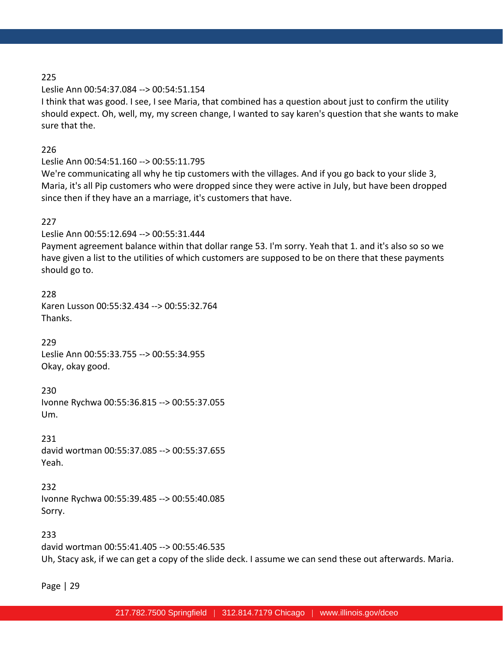### Leslie Ann 00:54:37.084 --> 00:54:51.154

I think that was good. I see, I see Maria, that combined has a question about just to confirm the utility should expect. Oh, well, my, my screen change, I wanted to say karen's question that she wants to make sure that the.

226

### Leslie Ann 00:54:51.160 --> 00:55:11.795

We're communicating all why he tip customers with the villages. And if you go back to your slide 3, Maria, it's all Pip customers who were dropped since they were active in July, but have been dropped since then if they have an a marriage, it's customers that have.

### 227

Leslie Ann 00:55:12.694 --> 00:55:31.444 Payment agreement balance within that dollar range 53. I'm sorry. Yeah that 1. and it's also so so we have given a list to the utilities of which customers are supposed to be on there that these payments should go to.

228 Karen Lusson 00:55:32.434 --> 00:55:32.764 Thanks.

229 Leslie Ann 00:55:33.755 --> 00:55:34.955 Okay, okay good.

230 Ivonne Rychwa 00:55:36.815 --> 00:55:37.055 Um.

231 david wortman 00:55:37.085 --> 00:55:37.655 Yeah.

232 Ivonne Rychwa 00:55:39.485 --> 00:55:40.085 Sorry.

233 david wortman 00:55:41.405 --> 00:55:46.535 Uh, Stacy ask, if we can get a copy of the slide deck. I assume we can send these out afterwards. Maria.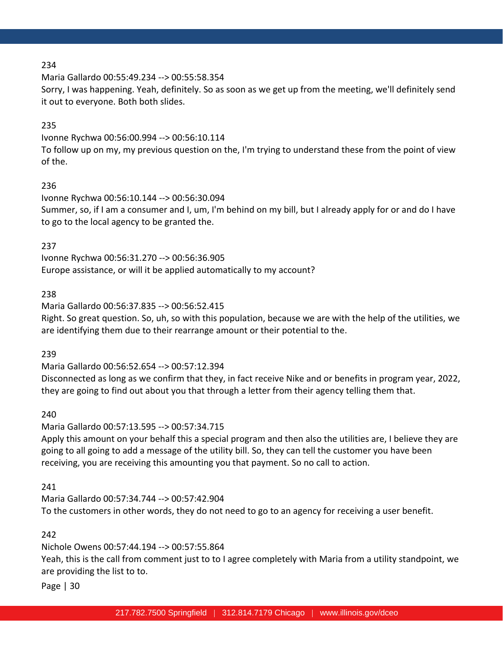Maria Gallardo 00:55:49.234 --> 00:55:58.354

Sorry, I was happening. Yeah, definitely. So as soon as we get up from the meeting, we'll definitely send it out to everyone. Both both slides.

### 235

Ivonne Rychwa 00:56:00.994 --> 00:56:10.114 To follow up on my, my previous question on the, I'm trying to understand these from the point of view of the.

### 236

Ivonne Rychwa 00:56:10.144 --> 00:56:30.094 Summer, so, if I am a consumer and I, um, I'm behind on my bill, but I already apply for or and do I have to go to the local agency to be granted the.

## 237

Ivonne Rychwa 00:56:31.270 --> 00:56:36.905 Europe assistance, or will it be applied automatically to my account?

## 238

Maria Gallardo 00:56:37.835 --> 00:56:52.415 Right. So great question. So, uh, so with this population, because we are with the help of the utilities, we are identifying them due to their rearrange amount or their potential to the.

239

Maria Gallardo 00:56:52.654 --> 00:57:12.394

Disconnected as long as we confirm that they, in fact receive Nike and or benefits in program year, 2022, they are going to find out about you that through a letter from their agency telling them that.

240

Maria Gallardo 00:57:13.595 --> 00:57:34.715

Apply this amount on your behalf this a special program and then also the utilities are, I believe they are going to all going to add a message of the utility bill. So, they can tell the customer you have been receiving, you are receiving this amounting you that payment. So no call to action.

## 241

Maria Gallardo 00:57:34.744 --> 00:57:42.904 To the customers in other words, they do not need to go to an agency for receiving a user benefit.

## 242

Nichole Owens 00:57:44.194 --> 00:57:55.864

Yeah, this is the call from comment just to to I agree completely with Maria from a utility standpoint, we are providing the list to to.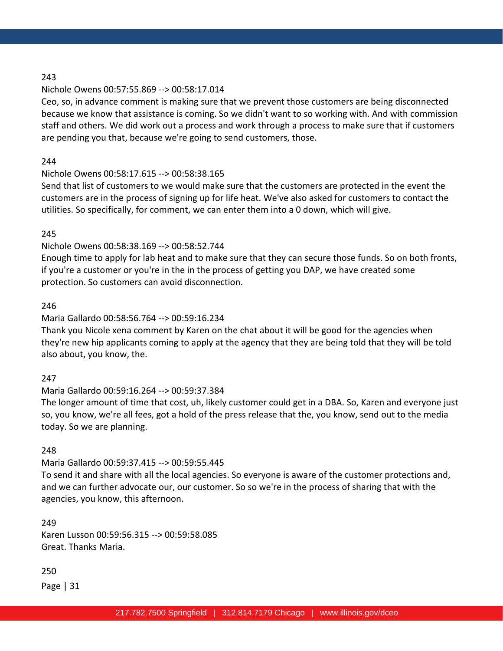### Nichole Owens 00:57:55.869 --> 00:58:17.014

Ceo, so, in advance comment is making sure that we prevent those customers are being disconnected because we know that assistance is coming. So we didn't want to so working with. And with commission staff and others. We did work out a process and work through a process to make sure that if customers are pending you that, because we're going to send customers, those.

### 244

## Nichole Owens 00:58:17.615 --> 00:58:38.165

Send that list of customers to we would make sure that the customers are protected in the event the customers are in the process of signing up for life heat. We've also asked for customers to contact the utilities. So specifically, for comment, we can enter them into a 0 down, which will give.

### 245

## Nichole Owens 00:58:38.169 --> 00:58:52.744

Enough time to apply for lab heat and to make sure that they can secure those funds. So on both fronts, if you're a customer or you're in the in the process of getting you DAP, we have created some protection. So customers can avoid disconnection.

### 246

## Maria Gallardo 00:58:56.764 --> 00:59:16.234

Thank you Nicole xena comment by Karen on the chat about it will be good for the agencies when they're new hip applicants coming to apply at the agency that they are being told that they will be told also about, you know, the.

## 247

## Maria Gallardo 00:59:16.264 --> 00:59:37.384

The longer amount of time that cost, uh, likely customer could get in a DBA. So, Karen and everyone just so, you know, we're all fees, got a hold of the press release that the, you know, send out to the media today. So we are planning.

## 248

## Maria Gallardo 00:59:37.415 --> 00:59:55.445

To send it and share with all the local agencies. So everyone is aware of the customer protections and, and we can further advocate our, our customer. So so we're in the process of sharing that with the agencies, you know, this afternoon.

249 Karen Lusson 00:59:56.315 --> 00:59:58.085 Great. Thanks Maria.

250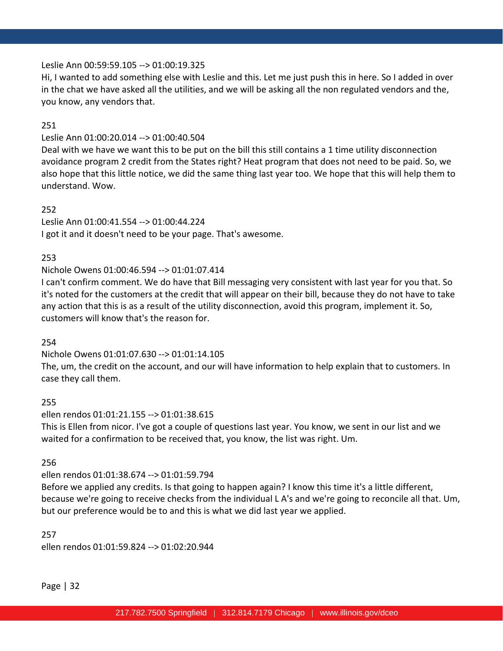### Leslie Ann 00:59:59.105 --> 01:00:19.325

Hi, I wanted to add something else with Leslie and this. Let me just push this in here. So I added in over in the chat we have asked all the utilities, and we will be asking all the non regulated vendors and the, you know, any vendors that.

### 251

## Leslie Ann 01:00:20.014 --> 01:00:40.504

Deal with we have we want this to be put on the bill this still contains a 1 time utility disconnection avoidance program 2 credit from the States right? Heat program that does not need to be paid. So, we also hope that this little notice, we did the same thing last year too. We hope that this will help them to understand. Wow.

### 252

Leslie Ann 01:00:41.554 --> 01:00:44.224 I got it and it doesn't need to be your page. That's awesome.

### 253

## Nichole Owens 01:00:46.594 --> 01:01:07.414

I can't confirm comment. We do have that Bill messaging very consistent with last year for you that. So it's noted for the customers at the credit that will appear on their bill, because they do not have to take any action that this is as a result of the utility disconnection, avoid this program, implement it. So, customers will know that's the reason for.

### 254

## Nichole Owens 01:01:07.630 --> 01:01:14.105

The, um, the credit on the account, and our will have information to help explain that to customers. In case they call them.

### 255

## ellen rendos 01:01:21.155 --> 01:01:38.615 This is Ellen from nicor. I've got a couple of questions last year. You know, we sent in our list and we waited for a confirmation to be received that, you know, the list was right. Um.

## 256

## ellen rendos 01:01:38.674 --> 01:01:59.794

Before we applied any credits. Is that going to happen again? I know this time it's a little different, because we're going to receive checks from the individual L A's and we're going to reconcile all that. Um, but our preference would be to and this is what we did last year we applied.

### 257

ellen rendos 01:01:59.824 --> 01:02:20.944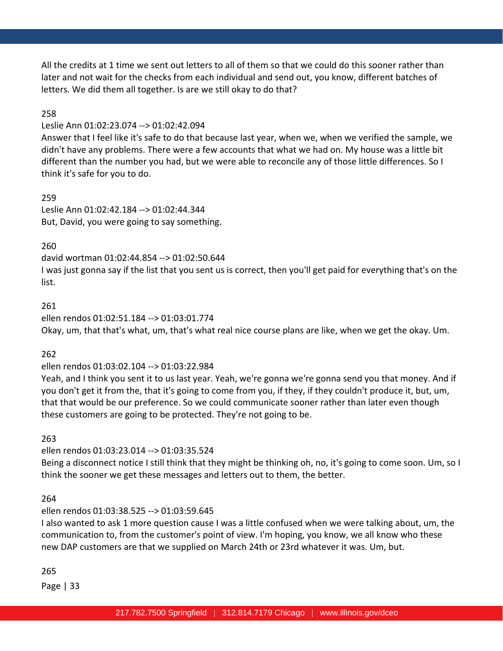All the credits at 1 time we sent out letters to all of them so that we could do this sooner rather than later and not wait for the checks from each individual and send out, you know, different batches of letters. We did them all together. Is are we still okay to do that?

### 258

### Leslie Ann 01:02:23.074 --> 01:02:42.094

Answer that I feel like it's safe to do that because last year, when we, when we verified the sample, we didn't have any problems. There were a few accounts that what we had on. My house was a little bit different than the number you had, but we were able to reconcile any of those little differences. So I think it's safe for you to do.

259 Leslie Ann 01:02:42.184 --> 01:02:44.344 But, David, you were going to say something.

### 260

david wortman 01:02:44.854 --> 01:02:50.644 I was just gonna say if the list that you sent us is correct, then you'll get paid for everything that's on the list.

### 261

ellen rendos 01:02:51.184 --> 01:03:01.774

Okay, um, that that's what, um, that's what real nice course plans are like, when we get the okay. Um.

### 262

ellen rendos 01:03:02.104 --> 01:03:22.984

Yeah, and I think you sent it to us last year. Yeah, we're gonna we're gonna send you that money. And if you don't get it from the, that it's going to come from you, if they, if they couldn't produce it, but, um, that that would be our preference. So we could communicate sooner rather than later even though these customers are going to be protected. They're not going to be.

263

ellen rendos 01:03:23.014 --> 01:03:35.524

Being a disconnect notice I still think that they might be thinking oh, no, it's going to come soon. Um, so I think the sooner we get these messages and letters out to them, the better.

### 264

### ellen rendos 01:03:38.525 --> 01:03:59.645

I also wanted to ask 1 more question cause I was a little confused when we were talking about, um, the communication to, from the customer's point of view. I'm hoping, you know, we all know who these new DAP customers are that we supplied on March 24th or 23rd whatever it was. Um, but.

### 265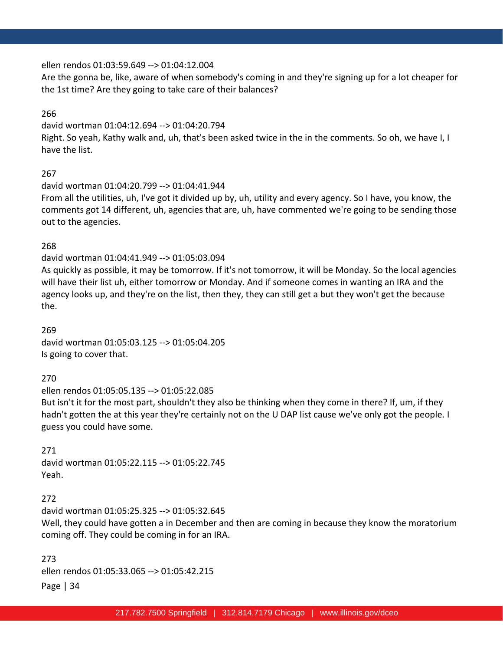### ellen rendos 01:03:59.649 --> 01:04:12.004

Are the gonna be, like, aware of when somebody's coming in and they're signing up for a lot cheaper for the 1st time? Are they going to take care of their balances?

### 266

david wortman 01:04:12.694 --> 01:04:20.794 Right. So yeah, Kathy walk and, uh, that's been asked twice in the in the comments. So oh, we have I, I have the list.

### 267

david wortman 01:04:20.799 --> 01:04:41.944 From all the utilities, uh, I've got it divided up by, uh, utility and every agency. So I have, you know, the comments got 14 different, uh, agencies that are, uh, have commented we're going to be sending those out to the agencies.

### 268

david wortman 01:04:41.949 --> 01:05:03.094 As quickly as possible, it may be tomorrow. If it's not tomorrow, it will be Monday. So the local agencies will have their list uh, either tomorrow or Monday. And if someone comes in wanting an IRA and the agency looks up, and they're on the list, then they, they can still get a but they won't get the because the.

269 david wortman 01:05:03.125 --> 01:05:04.205 Is going to cover that.

### 270

ellen rendos 01:05:05.135 --> 01:05:22.085 But isn't it for the most part, shouldn't they also be thinking when they come in there? If, um, if they hadn't gotten the at this year they're certainly not on the U DAP list cause we've only got the people. I guess you could have some.

271 david wortman 01:05:22.115 --> 01:05:22.745 Yeah.

### 272

david wortman 01:05:25.325 --> 01:05:32.645 Well, they could have gotten a in December and then are coming in because they know the moratorium coming off. They could be coming in for an IRA.

Page | 34 273 ellen rendos 01:05:33.065 --> 01:05:42.215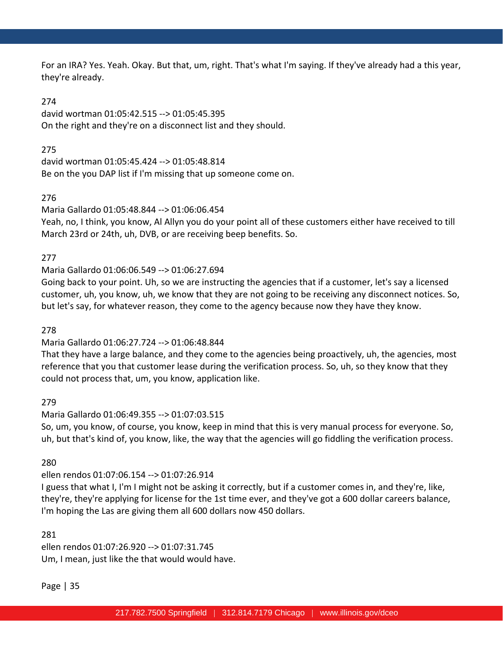For an IRA? Yes. Yeah. Okay. But that, um, right. That's what I'm saying. If they've already had a this year, they're already.

### 274

david wortman 01:05:42.515 --> 01:05:45.395 On the right and they're on a disconnect list and they should.

275

david wortman 01:05:45.424 --> 01:05:48.814 Be on the you DAP list if I'm missing that up someone come on.

## 276

## Maria Gallardo 01:05:48.844 --> 01:06:06.454

Yeah, no, I think, you know, Al Allyn you do your point all of these customers either have received to till March 23rd or 24th, uh, DVB, or are receiving beep benefits. So.

### 277

## Maria Gallardo 01:06:06.549 --> 01:06:27.694

Going back to your point. Uh, so we are instructing the agencies that if a customer, let's say a licensed customer, uh, you know, uh, we know that they are not going to be receiving any disconnect notices. So, but let's say, for whatever reason, they come to the agency because now they have they know.

## 278

## Maria Gallardo 01:06:27.724 --> 01:06:48.844

That they have a large balance, and they come to the agencies being proactively, uh, the agencies, most reference that you that customer lease during the verification process. So, uh, so they know that they could not process that, um, you know, application like.

## 279

## Maria Gallardo 01:06:49.355 --> 01:07:03.515

So, um, you know, of course, you know, keep in mind that this is very manual process for everyone. So, uh, but that's kind of, you know, like, the way that the agencies will go fiddling the verification process.

## 280

## ellen rendos 01:07:06.154 --> 01:07:26.914

I guess that what I, I'm I might not be asking it correctly, but if a customer comes in, and they're, like, they're, they're applying for license for the 1st time ever, and they've got a 600 dollar careers balance, I'm hoping the Las are giving them all 600 dollars now 450 dollars.

### 281

ellen rendos 01:07:26.920 --> 01:07:31.745 Um, I mean, just like the that would would have.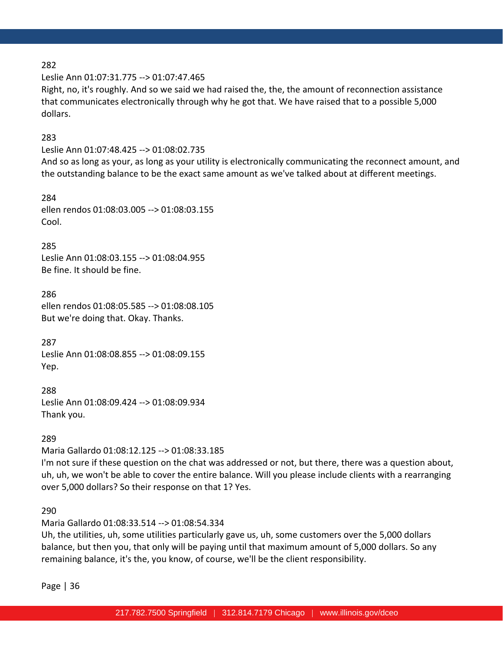Leslie Ann 01:07:31.775 --> 01:07:47.465

Right, no, it's roughly. And so we said we had raised the, the, the amount of reconnection assistance that communicates electronically through why he got that. We have raised that to a possible 5,000 dollars.

### 283

Leslie Ann 01:07:48.425 --> 01:08:02.735 And so as long as your, as long as your utility is electronically communicating the reconnect amount, and the outstanding balance to be the exact same amount as we've talked about at different meetings.

284 ellen rendos 01:08:03.005 --> 01:08:03.155 Cool.

### 285

Leslie Ann 01:08:03.155 --> 01:08:04.955 Be fine. It should be fine.

286 ellen rendos 01:08:05.585 --> 01:08:08.105 But we're doing that. Okay. Thanks.

287 Leslie Ann 01:08:08.855 --> 01:08:09.155 Yep.

288 Leslie Ann 01:08:09.424 --> 01:08:09.934 Thank you.

### 289

Maria Gallardo 01:08:12.125 --> 01:08:33.185

I'm not sure if these question on the chat was addressed or not, but there, there was a question about, uh, uh, we won't be able to cover the entire balance. Will you please include clients with a rearranging over 5,000 dollars? So their response on that 1? Yes.

### 290

Maria Gallardo 01:08:33.514 --> 01:08:54.334

Uh, the utilities, uh, some utilities particularly gave us, uh, some customers over the 5,000 dollars balance, but then you, that only will be paying until that maximum amount of 5,000 dollars. So any remaining balance, it's the, you know, of course, we'll be the client responsibility.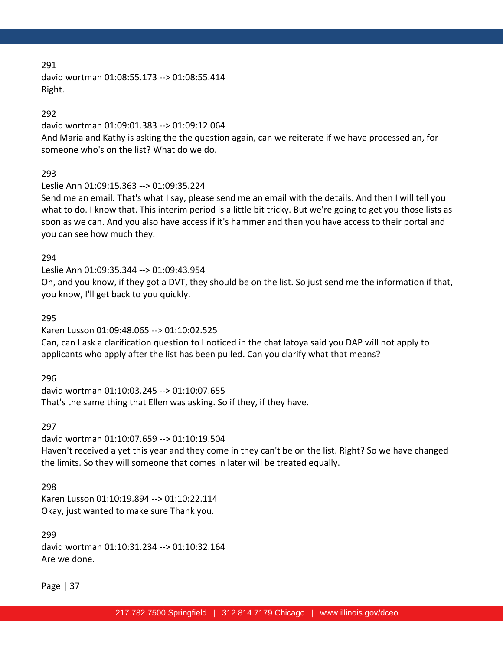david wortman 01:08:55.173 --> 01:08:55.414 Right.

### 292

david wortman 01:09:01.383 --> 01:09:12.064

And Maria and Kathy is asking the the question again, can we reiterate if we have processed an, for someone who's on the list? What do we do.

### 293

Leslie Ann 01:09:15.363 --> 01:09:35.224

Send me an email. That's what I say, please send me an email with the details. And then I will tell you what to do. I know that. This interim period is a little bit tricky. But we're going to get you those lists as soon as we can. And you also have access if it's hammer and then you have access to their portal and you can see how much they.

### 294

Leslie Ann 01:09:35.344 --> 01:09:43.954 Oh, and you know, if they got a DVT, they should be on the list. So just send me the information if that, you know, I'll get back to you quickly.

### 295

Karen Lusson 01:09:48.065 --> 01:10:02.525

Can, can I ask a clarification question to I noticed in the chat latoya said you DAP will not apply to applicants who apply after the list has been pulled. Can you clarify what that means?

### 296

david wortman 01:10:03.245 --> 01:10:07.655 That's the same thing that Ellen was asking. So if they, if they have.

### 297

david wortman 01:10:07.659 --> 01:10:19.504 Haven't received a yet this year and they come in they can't be on the list. Right? So we have changed the limits. So they will someone that comes in later will be treated equally.

### 298

Karen Lusson 01:10:19.894 --> 01:10:22.114 Okay, just wanted to make sure Thank you.

## 299 david wortman 01:10:31.234 --> 01:10:32.164 Are we done.